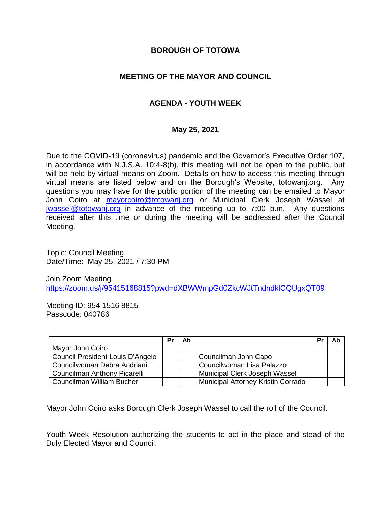## **BOROUGH OF TOTOWA**

# **MEETING OF THE MAYOR AND COUNCIL**

# **AGENDA - YOUTH WEEK**

### **May 25, 2021**

Due to the COVID-19 (coronavirus) pandemic and the Governor's Executive Order 107, in accordance with N.J.S.A. 10:4-8(b), this meeting will not be open to the public, but will be held by virtual means on Zoom. Details on how to access this meeting through virtual means are listed below and on the Borough's Website, totowanj.org. Any questions you may have for the public portion of the meeting can be emailed to Mayor John Coiro at [mayorcoiro@totowanj.org](mailto:mayorcoiro@totowanj.org) or Municipal Clerk Joseph Wassel at [jwassel@totowanj.org](mailto:jwassel@totowanj.org) in advance of the meeting up to 7:00 p.m. Any questions received after this time or during the meeting will be addressed after the Council Meeting.

Topic: Council Meeting Date/Time: May 25, 2021 / 7:30 PM

Join Zoom Meeting <https://zoom.us/j/95415168815?pwd=dXBWWmpGd0ZkcWJtTndndklCQUgxQT09>

Meeting ID: 954 1516 8815 Passcode: 040786

|                                  | Pr | Ab |                                           | Pr | Ab |
|----------------------------------|----|----|-------------------------------------------|----|----|
| Mayor John Coiro                 |    |    |                                           |    |    |
| Council President Louis D'Angelo |    |    | Councilman John Capo                      |    |    |
| Councilwoman Debra Andriani      |    |    | Councilwoman Lisa Palazzo                 |    |    |
| Councilman Anthony Picarelli     |    |    | Municipal Clerk Joseph Wassel             |    |    |
| Councilman William Bucher        |    |    | <b>Municipal Attorney Kristin Corrado</b> |    |    |

Mayor John Coiro asks Borough Clerk Joseph Wassel to call the roll of the Council.

Youth Week Resolution authorizing the students to act in the place and stead of the Duly Elected Mayor and Council.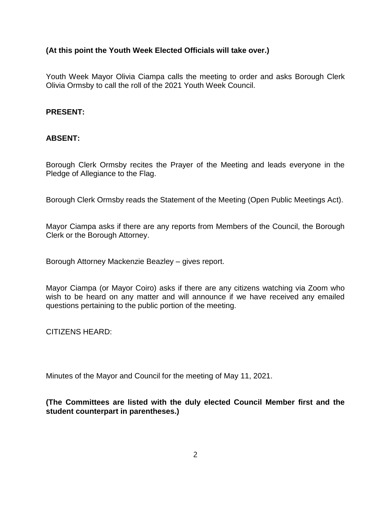## **(At this point the Youth Week Elected Officials will take over.)**

Youth Week Mayor Olivia Ciampa calls the meeting to order and asks Borough Clerk Olivia Ormsby to call the roll of the 2021 Youth Week Council.

## **PRESENT:**

## **ABSENT:**

Borough Clerk Ormsby recites the Prayer of the Meeting and leads everyone in the Pledge of Allegiance to the Flag.

Borough Clerk Ormsby reads the Statement of the Meeting (Open Public Meetings Act).

Mayor Ciampa asks if there are any reports from Members of the Council, the Borough Clerk or the Borough Attorney.

Borough Attorney Mackenzie Beazley – gives report.

Mayor Ciampa (or Mayor Coiro) asks if there are any citizens watching via Zoom who wish to be heard on any matter and will announce if we have received any emailed questions pertaining to the public portion of the meeting.

CITIZENS HEARD:

Minutes of the Mayor and Council for the meeting of May 11, 2021.

**(The Committees are listed with the duly elected Council Member first and the student counterpart in parentheses.)**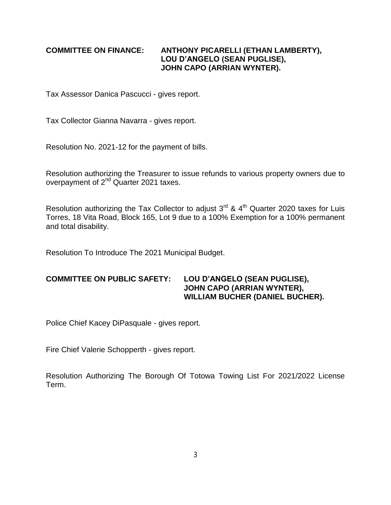#### **COMMITTEE ON FINANCE: ANTHONY PICARELLI (ETHAN LAMBERTY), LOU D'ANGELO (SEAN PUGLISE), JOHN CAPO (ARRIAN WYNTER).**

Tax Assessor Danica Pascucci - gives report.

Tax Collector Gianna Navarra - gives report.

Resolution No. 2021-12 for the payment of bills.

Resolution authorizing the Treasurer to issue refunds to various property owners due to overpayment of 2<sup>nd</sup> Quarter 2021 taxes.

Resolution authorizing the Tax Collector to adjust  $3^{rd}$  &  $4^{th}$  Quarter 2020 taxes for Luis Torres, 18 Vita Road, Block 165, Lot 9 due to a 100% Exemption for a 100% permanent and total disability.

Resolution To Introduce The 2021 Municipal Budget.

### **COMMITTEE ON PUBLIC SAFETY: LOU D'ANGELO (SEAN PUGLISE), JOHN CAPO (ARRIAN WYNTER), WILLIAM BUCHER (DANIEL BUCHER).**

Police Chief Kacey DiPasquale - gives report.

Fire Chief Valerie Schopperth - gives report.

Resolution Authorizing The Borough Of Totowa Towing List For 2021/2022 License Term.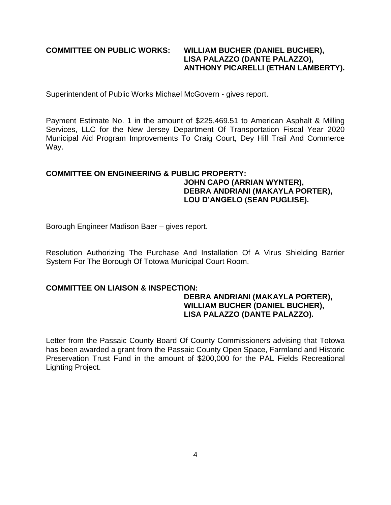### **COMMITTEE ON PUBLIC WORKS: WILLIAM BUCHER (DANIEL BUCHER), LISA PALAZZO (DANTE PALAZZO), ANTHONY PICARELLI (ETHAN LAMBERTY).**

Superintendent of Public Works Michael McGovern - gives report.

Payment Estimate No. 1 in the amount of \$225,469.51 to American Asphalt & Milling Services, LLC for the New Jersey Department Of Transportation Fiscal Year 2020 Municipal Aid Program Improvements To Craig Court, Dey Hill Trail And Commerce Way.

### **COMMITTEE ON ENGINEERING & PUBLIC PROPERTY: JOHN CAPO (ARRIAN WYNTER), DEBRA ANDRIANI (MAKAYLA PORTER), LOU D'ANGELO (SEAN PUGLISE).**

Borough Engineer Madison Baer – gives report.

Resolution Authorizing The Purchase And Installation Of A Virus Shielding Barrier System For The Borough Of Totowa Municipal Court Room.

#### **COMMITTEE ON LIAISON & INSPECTION:**

#### **DEBRA ANDRIANI (MAKAYLA PORTER), WILLIAM BUCHER (DANIEL BUCHER), LISA PALAZZO (DANTE PALAZZO).**

Letter from the Passaic County Board Of County Commissioners advising that Totowa has been awarded a grant from the Passaic County Open Space, Farmland and Historic Preservation Trust Fund in the amount of \$200,000 for the PAL Fields Recreational Lighting Project.